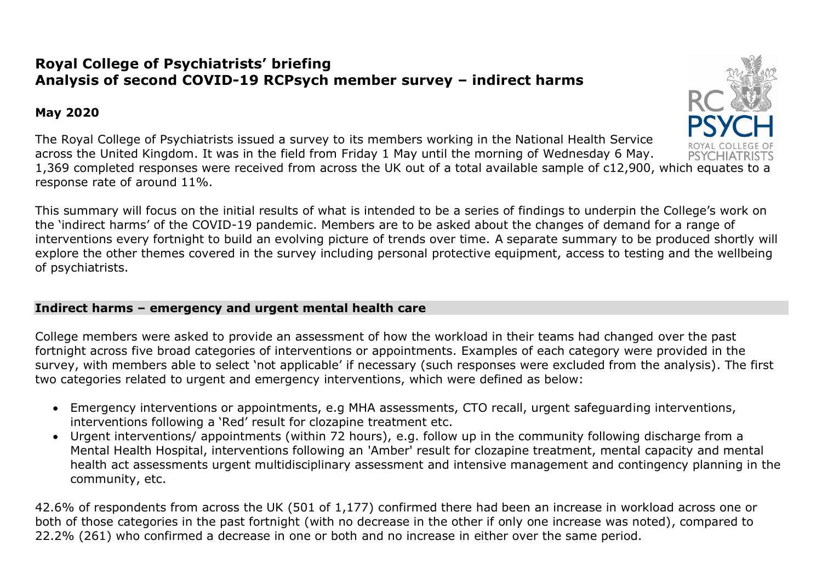# **Royal College of Psychiatrists' briefing Analysis of second COVID-19 RCPsych member survey – indirect harms**

# **May 2020**

The Royal College of Psychiatrists issued a survey to its members working in the National Health Service across the United Kingdom. It was in the field from Friday 1 May until the morning of Wednesday 6 May. 1,369 completed responses were received from across the UK out of a total available sample of c12,900, which equates to a response rate of around 11%.

This summary will focus on the initial results of what is intended to be a series of findings to underpin the College's work on the 'indirect harms' of the COVID-19 pandemic. Members are to be asked about the changes of demand for a range of interventions every fortnight to build an evolving picture of trends over time. A separate summary to be produced shortly will explore the other themes covered in the survey including personal protective equipment, access to testing and the wellbeing of psychiatrists.

## **Indirect harms – emergency and urgent mental health care**

College members were asked to provide an assessment of how the workload in their teams had changed over the past fortnight across five broad categories of interventions or appointments. Examples of each category were provided in the survey, with members able to select 'not applicable' if necessary (such responses were excluded from the analysis). The first two categories related to urgent and emergency interventions, which were defined as below:

- Emergency interventions or appointments, e.g MHA assessments, CTO recall, urgent safeguarding interventions, interventions following a 'Red' result for clozapine treatment etc.
- Urgent interventions/ appointments (within 72 hours), e.g. follow up in the community following discharge from a Mental Health Hospital, interventions following an 'Amber' result for clozapine treatment, mental capacity and mental health act assessments urgent multidisciplinary assessment and intensive management and contingency planning in the community, etc.

42.6% of respondents from across the UK (501 of 1,177) confirmed there had been an increase in workload across one or both of those categories in the past fortnight (with no decrease in the other if only one increase was noted), compared to 22.2% (261) who confirmed a decrease in one or both and no increase in either over the same period.

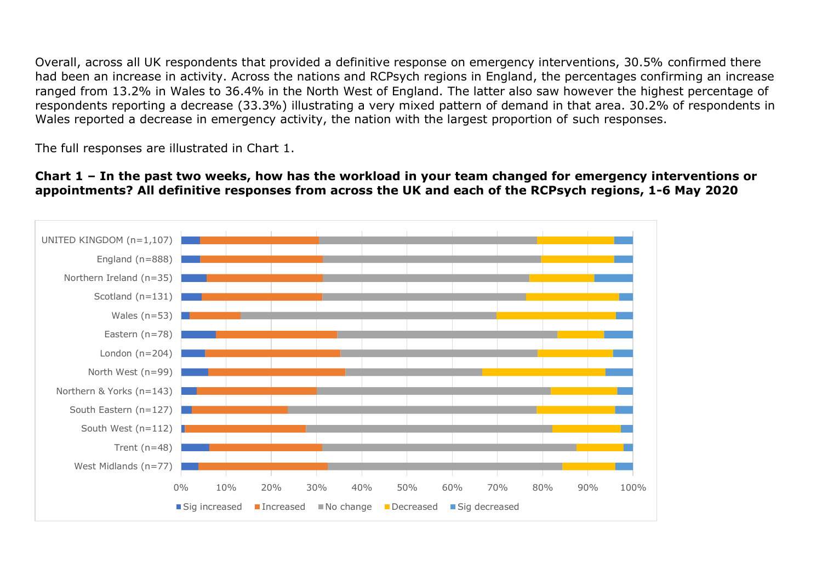Overall, across all UK respondents that provided a definitive response on emergency interventions, 30.5% confirmed there had been an increase in activity. Across the nations and RCPsych regions in England, the percentages confirming an increase ranged from 13.2% in Wales to 36.4% in the North West of England. The latter also saw however the highest percentage of respondents reporting a decrease (33.3%) illustrating a very mixed pattern of demand in that area. 30.2% of respondents in Wales reported a decrease in emergency activity, the nation with the largest proportion of such responses.

The full responses are illustrated in Chart 1.

### **Chart 1 – In the past two weeks, how has the workload in your team changed for emergency interventions or appointments? All definitive responses from across the UK and each of the RCPsych regions, 1-6 May 2020**

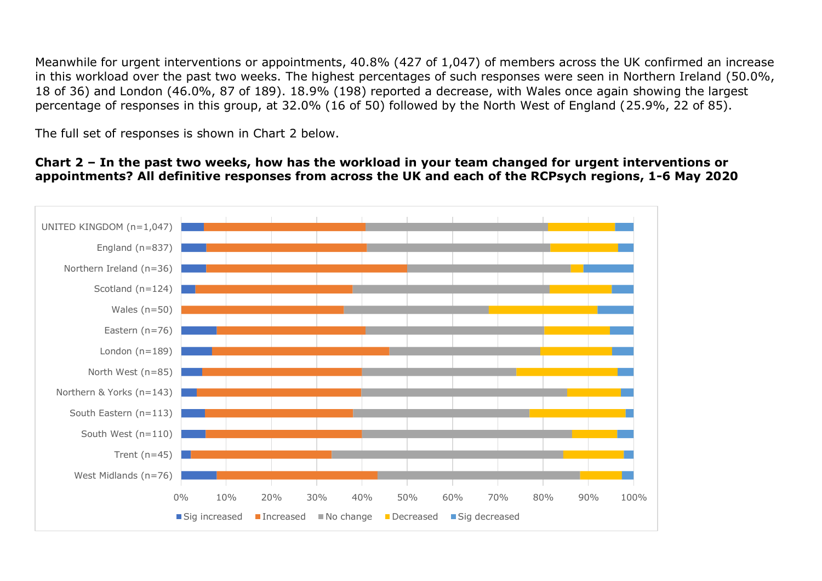Meanwhile for urgent interventions or appointments, 40.8% (427 of 1,047) of members across the UK confirmed an increase in this workload over the past two weeks. The highest percentages of such responses were seen in Northern Ireland (50.0%, 18 of 36) and London (46.0%, 87 of 189). 18.9% (198) reported a decrease, with Wales once again showing the largest percentage of responses in this group, at 32.0% (16 of 50) followed by the North West of England (25.9%, 22 of 85).

The full set of responses is shown in Chart 2 below.

#### **Chart 2 – In the past two weeks, how has the workload in your team changed for urgent interventions or appointments? All definitive responses from across the UK and each of the RCPsych regions, 1-6 May 2020**

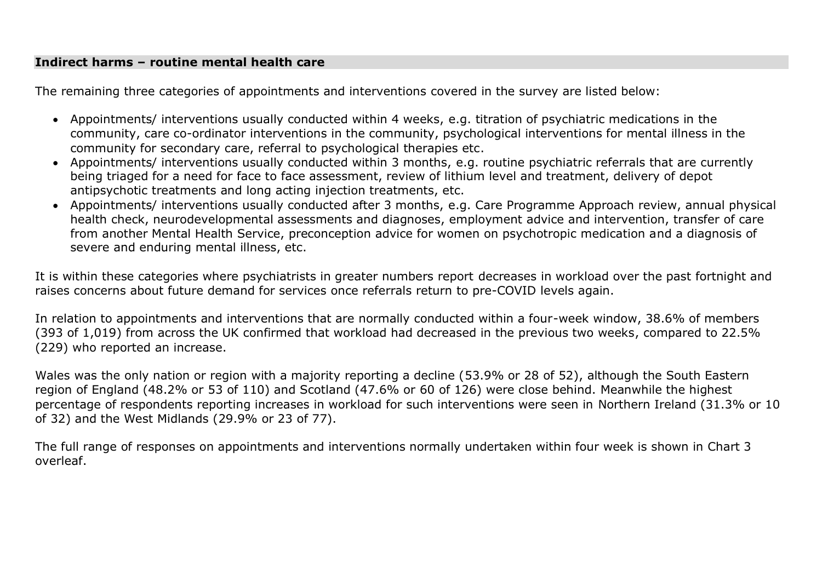### **Indirect harms – routine mental health care**

The remaining three categories of appointments and interventions covered in the survey are listed below:

- Appointments/ interventions usually conducted within 4 weeks, e.g. titration of psychiatric medications in the community, care co-ordinator interventions in the community, psychological interventions for mental illness in the community for secondary care, referral to psychological therapies etc.
- Appointments/ interventions usually conducted within 3 months, e.g. routine psychiatric referrals that are currently being triaged for a need for face to face assessment, review of lithium level and treatment, delivery of depot antipsychotic treatments and long acting injection treatments, etc.
- Appointments/ interventions usually conducted after 3 months, e.g. Care Programme Approach review, annual physical health check, neurodevelopmental assessments and diagnoses, employment advice and intervention, transfer of care from another Mental Health Service, preconception advice for women on psychotropic medication and a diagnosis of severe and enduring mental illness, etc.

It is within these categories where psychiatrists in greater numbers report decreases in workload over the past fortnight and raises concerns about future demand for services once referrals return to pre-COVID levels again.

In relation to appointments and interventions that are normally conducted within a four-week window, 38.6% of members (393 of 1,019) from across the UK confirmed that workload had decreased in the previous two weeks, compared to 22.5% (229) who reported an increase.

Wales was the only nation or region with a majority reporting a decline (53.9% or 28 of 52), although the South Eastern region of England (48.2% or 53 of 110) and Scotland (47.6% or 60 of 126) were close behind. Meanwhile the highest percentage of respondents reporting increases in workload for such interventions were seen in Northern Ireland (31.3% or 10 of 32) and the West Midlands (29.9% or 23 of 77).

The full range of responses on appointments and interventions normally undertaken within four week is shown in Chart 3 overleaf.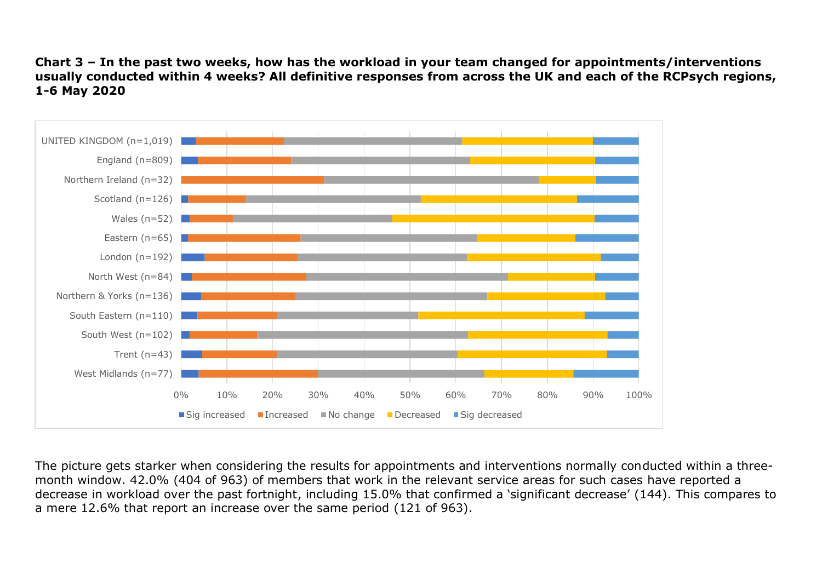#### **Chart 3 – In the past two weeks, how has the workload in your team changed for appointments/interventions usually conducted within 4 weeks? All definitive responses from across the UK and each of the RCPsych regions, 1-6 May 2020**



The picture gets starker when considering the results for appointments and interventions normally conducted within a threemonth window. 42.0% (404 of 963) of members that work in the relevant service areas for such cases have reported a decrease in workload over the past fortnight, including 15.0% that confirmed a 'significant decrease' (144). This compares to a mere 12.6% that report an increase over the same period (121 of 963).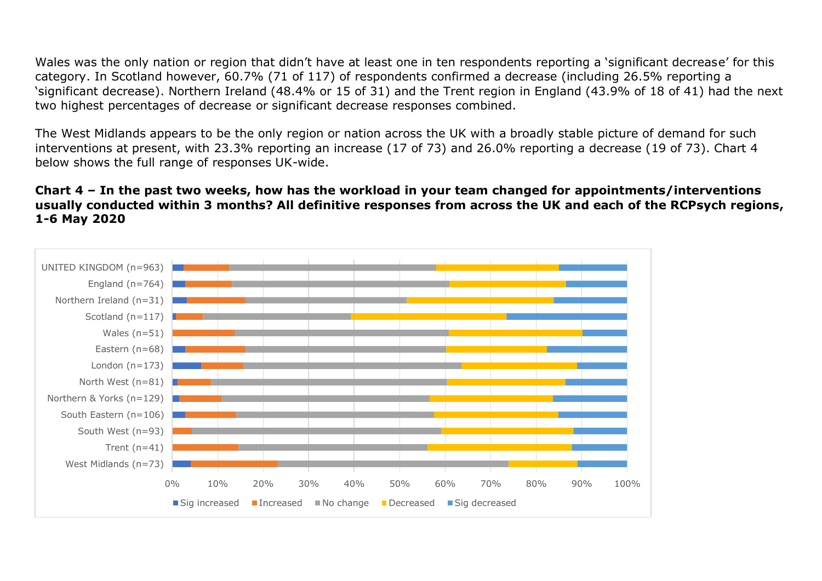Wales was the only nation or region that didn't have at least one in ten respondents reporting a 'significant decrease' for this category. In Scotland however, 60.7% (71 of 117) of respondents confirmed a decrease (including 26.5% reporting a 'significant decrease). Northern Ireland (48.4% or 15 of 31) and the Trent region in England (43.9% of 18 of 41) had the next two highest percentages of decrease or significant decrease responses combined.

The West Midlands appears to be the only region or nation across the UK with a broadly stable picture of demand for such interventions at present, with 23.3% reporting an increase (17 of 73) and 26.0% reporting a decrease (19 of 73). Chart 4 below shows the full range of responses UK-wide.

#### **Chart 4 – In the past two weeks, how has the workload in your team changed for appointments/interventions usually conducted within 3 months? All definitive responses from across the UK and each of the RCPsych regions, 1-6 May 2020**